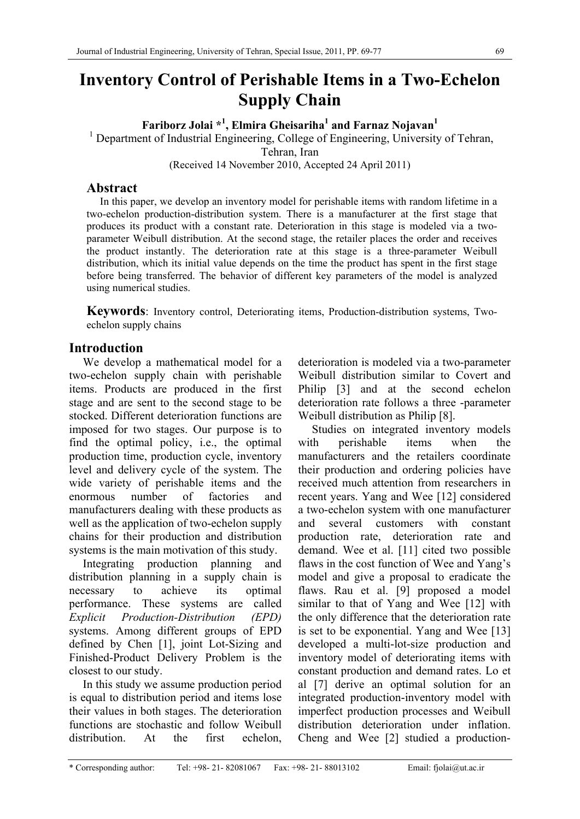# **Inventory Control of Perishable Items in a Two-Echelon Supply Chain**

**Fariborz Jolai<sup>\*1</sup>, Elmira Gheisariha<sup>1</sup> and Farnaz Nojavan<sup>1</sup><br><sup>1</sup> Department of Industrial Engineering College of Engineering University** 

<sup>1</sup> Department of Industrial Engineering, College of Engineering, University of Tehran,

Tehran, Iran

(Received 14 November 2010, Accepted 24 April 2011)

# **Abstract**

 In this paper, we develop an inventory model for perishable items with random lifetime in a two-echelon production-distribution system. There is a manufacturer at the first stage that produces its product with a constant rate. Deterioration in this stage is modeled via a twoparameter Weibull distribution. At the second stage, the retailer places the order and receives the product instantly. The deterioration rate at this stage is a three-parameter Weibull distribution, which its initial value depends on the time the product has spent in the first stage before being transferred. The behavior of different key parameters of the model is analyzed using numerical studies.

**Keywords**: Inventory control, Deteriorating items, Production-distribution systems, Twoechelon supply chains

# **Introduction**

We develop a mathematical model for a two-echelon supply chain with perishable items. Products are produced in the first stage and are sent to the second stage to be stocked. Different deterioration functions are imposed for two stages. Our purpose is to find the optimal policy, i.e., the optimal production time, production cycle, inventory level and delivery cycle of the system. The wide variety of perishable items and the enormous number of factories and manufacturers dealing with these products as well as the application of two-echelon supply chains for their production and distribution systems is the main motivation of this study.

Integrating production planning and distribution planning in a supply chain is necessary to achieve its optimal performance. These systems are called *Explicit Production-Distribution (EPD)* systems. Among different groups of EPD defined by Chen [1], joint Lot-Sizing and Finished-Product Delivery Problem is the closest to our study.

In this study we assume production period is equal to distribution period and items lose their values in both stages. The deterioration functions are stochastic and follow Weibull distribution. At the first echelon,

deterioration is modeled via a two-parameter Weibull distribution similar to Covert and Philip [3] and at the second echelon deterioration rate follows a three -parameter Weibull distribution as Philip [8].

Studies on integrated inventory models with perishable items when the manufacturers and the retailers coordinate their production and ordering policies have received much attention from researchers in recent years. Yang and Wee [12] considered a two-echelon system with one manufacturer and several customers with constant production rate, deterioration rate and demand. Wee et al. [11] cited two possible flaws in the cost function of Wee and Yang's model and give a proposal to eradicate the flaws. Rau et al. [9] proposed a model similar to that of Yang and Wee [12] with the only difference that the deterioration rate is set to be exponential. Yang and Wee [13] developed a multi-lot-size production and inventory model of deteriorating items with constant production and demand rates. Lo et al [7] derive an optimal solution for an integrated production-inventory model with imperfect production processes and Weibull distribution deterioration under inflation. Cheng and Wee [2] studied a production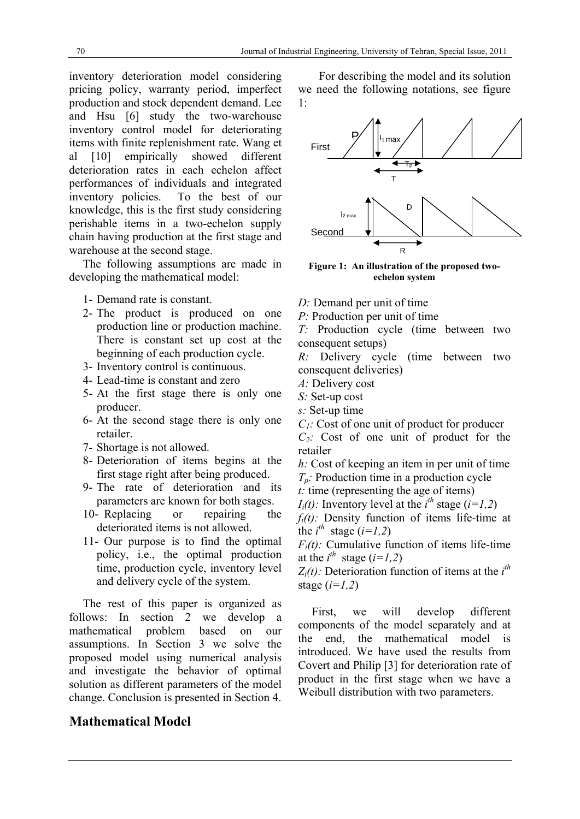inventory deterioration model considering pricing policy, warranty period, imperfect production and stock dependent demand. Lee and Hsu [6] study the two-warehouse inventory control model for deteriorating items with finite replenishment rate. Wang et al [10] empirically showed different deterioration rates in each echelon affect performances of individuals and integrated inventory policies. To the best of our knowledge, this is the first study considering perishable items in a two-echelon supply chain having production at the first stage and warehouse at the second stage.

The following assumptions are made in developing the mathematical model:

- 1- Demand rate is constant.
- 2- The product is produced on one production line or production machine. There is constant set up cost at the beginning of each production cycle.
- 3- Inventory control is continuous.
- 4- Lead-time is constant and zero
- 5- At the first stage there is only one producer.
- 6- At the second stage there is only one retailer.
- 7- Shortage is not allowed.
- 8- Deterioration of items begins at the first stage right after being produced.
- 9- The rate of deterioration and its parameters are known for both stages.
- 10- Replacing or repairing the deteriorated items is not allowed.
- 11- Our purpose is to find the optimal policy, i.e., the optimal production time, production cycle, inventory level and delivery cycle of the system.

The rest of this paper is organized as follows: In section 2 we develop a mathematical problem based on our assumptions. In Section 3 we solve the proposed model using numerical analysis and investigate the behavior of optimal solution as different parameters of the model change. Conclusion is presented in Section 4.

# **Mathematical Model**

For describing the model and its solution we need the following notations, see figure 1:



**Figure 1: An illustration of the proposed twoechelon system**

- *D:* Demand per unit of time
- *P:* Production per unit of time

*T:* Production cycle (time between two consequent setups)

*R:* Delivery cycle (time between two consequent deliveries)

- *A:* Delivery cost
- *S:* Set-up cost
- *s:* Set-up time
- *C<sub>1</sub>*: Cost of one unit of product for producer

*C2:* Cost of one unit of product for the retailer

*h:* Cost of keeping an item in per unit of time *Tp:* Production time in a production cycle

*t:* time (representing the age of items)

*I<sub>i</sub>*(*t*): Inventory level at the *i*<sup>th</sup> stage (*i*=*1,2*)

*fi(t):* Density function of items life-time at the  $i^{th}$  stage  $(i=1,2)$ 

 $F_i(t)$ : Cumulative function of items life-time at the  $i^{th}$  stage ( $i=1,2$ )

 $Z_i(t)$ : Deterioration function of items at the  $i^{th}$ stage (*i=1,2*)

First, we will develop different components of the model separately and at the end, the mathematical model is introduced. We have used the results from Covert and Philip [3] for deterioration rate of product in the first stage when we have a Weibull distribution with two parameters.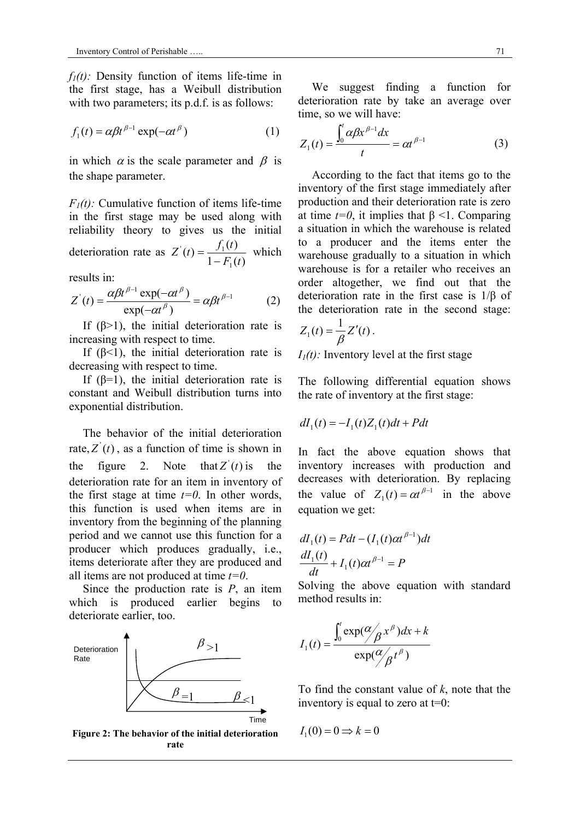$f_1(t)$ : Density function of items life-time in the first stage, has a Weibull distribution with two parameters; its p.d.f. is as follows:

$$
f_1(t) = \alpha \beta t^{\beta - 1} \exp(-\alpha t^{\beta})
$$
 (1)

in which  $\alpha$  is the scale parameter and  $\beta$  is the shape parameter.

 $F_I(t)$ : Cumulative function of items life-time in the first stage may be used along with reliability theory to gives us the initial deterioration rate as  $1 - F_1(t)$  $(t) = \frac{f_1(t)}{1 - \sum_{i=1}^{n} a_i}$ 1  $\mathcal{I}_{(4)} = \mathcal{I}_{1}$  $Z'(t) = \frac{f_1(t)}{1 - F_1(t)}$  which

results in:

$$
Z'(t) = \frac{\alpha \beta t^{\beta - 1} \exp(-\alpha t^{\beta})}{\exp(-\alpha t^{\beta})} = \alpha \beta t^{\beta - 1}
$$
 (2)

If  $(\beta > 1)$ , the initial deterioration rate is increasing with respect to time.

If  $(\beta < 1)$ , the initial deterioration rate is decreasing with respect to time.

If  $(\beta=1)$ , the initial deterioration rate is constant and Weibull distribution turns into exponential distribution.

The behavior of the initial deterioration rate,  $Z'(t)$ , as a function of time is shown in the figure 2. Note that  $Z'(t)$  is the deterioration rate for an item in inventory of the first stage at time  $t=0$ . In other words, this function is used when items are in inventory from the beginning of the planning period and we cannot use this function for a producer which produces gradually, i.e., items deteriorate after they are produced and all items are not produced at time *t=0*.

Since the production rate is *P*, an item which is produced earlier begins to deteriorate earlier, too.



**Figure 2: The behavior of the initial deterioration rate** 

We suggest finding a function for deterioration rate by take an average over time, so we will have:

$$
Z_1(t) = \frac{\int_0^t \alpha \beta x^{\beta - 1} dx}{t} = \alpha t^{\beta - 1}
$$
 (3)

According to the fact that items go to the inventory of the first stage immediately after production and their deterioration rate is zero at time  $t=0$ , it implies that  $\beta$  <1. Comparing a situation in which the warehouse is related to a producer and the items enter the warehouse gradually to a situation in which warehouse is for a retailer who receives an order altogether, we find out that the deterioration rate in the first case is 1/β of the deterioration rate in the second stage:

$$
Z_1(t) = \frac{1}{\beta} Z'(t) \, .
$$

 $I_1(t)$ : Inventory level at the first stage

The following differential equation shows the rate of inventory at the first stage:

$$
dI_1(t) = -I_1(t)Z_1(t)dt + Pdt
$$

In fact the above equation shows that inventory increases with production and decreases with deterioration. By replacing the value of  $Z_1(t) = \alpha t^{\beta-1}$  in the above equation we get:

$$
dI_1(t) = Pdt - (I_1(t)\alpha t^{\beta - 1})dt
$$
  

$$
\frac{dI_1(t)}{dt} + I_1(t)\alpha t^{\beta - 1} = P
$$

Solving the above equation with standard method results in:

$$
I_1(t) = \frac{\int_0^t \exp(\frac{\alpha}{\beta} x^{\beta}) dx + k}{\exp(\frac{\alpha}{\beta} t^{\beta})}
$$

To find the constant value of *k*, note that the inventory is equal to zero at  $t=0$ :

$$
I_1(0) = 0 \Longrightarrow k = 0
$$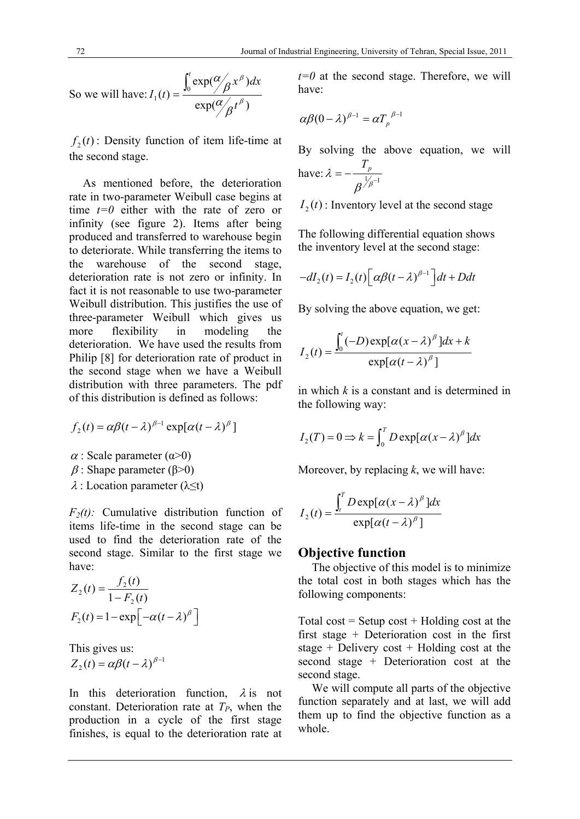So we will have: 
$$
I_1(t) = \frac{\int_0^t \exp(\frac{\alpha}{\beta} x^{\beta}) dx}{\exp(\frac{\alpha}{\beta} t^{\beta})}
$$

 $f_2(t)$ : Density function of item life-time at the second stage.

As mentioned before, the deterioration rate in two-parameter Weibull case begins at time *t=0* either with the rate of zero or infinity (see figure 2). Items after being produced and transferred to warehouse begin to deteriorate. While transferring the items to the warehouse of the second stage, deterioration rate is not zero or infinity. In fact it is not reasonable to use two-parameter Weibull distribution. This justifies the use of three-parameter Weibull which gives us more flexibility in modeling the deterioration. We have used the results from Philip [8] for deterioration rate of product in the second stage when we have a Weibull distribution with three parameters. The pdf of this distribution is defined as follows:

$$
f_2(t) = \alpha \beta (t - \lambda)^{\beta - 1} \exp[\alpha (t - \lambda)^{\beta}]
$$

 $\alpha$ : Scale parameter ( $\alpha$ >0)

- $β$ : Shape parameter (β>0)
- $\lambda$ : Location parameter ( $\lambda \leq t$ )

*F2(t):* Cumulative distribution function of items life-time in the second stage can be used to find the deterioration rate of the second stage. Similar to the first stage we have:

$$
Z_2(t) = \frac{f_2(t)}{1 - F_2(t)}
$$
  
F\_2(t) = 1 - exp $\left[-\alpha(t - \lambda)^{\beta}\right]$ 

This gives us:

$$
Z_2(t) = \alpha \beta (t - \lambda)^{\beta - 1}
$$

In this deterioration function,  $\lambda$  is not constant. Deterioration rate at  $T_P$ , when the production in a cycle of the first stage finishes, is equal to the deterioration rate at

 $t=0$  at the second stage. Therefore, we will have:

$$
\alpha\beta(0-\lambda)^{\beta-1}=\alpha T_p^{\beta-1}
$$

By solving the above equation, we will have:  $\lambda = -\frac{T_p}{\beta^{1/p-1}}$ 

 $I_2(t)$ : Inventory level at the second stage

The following differential equation shows the inventory level at the second stage:

$$
-dI_2(t) = I_2(t) \Big[ \alpha \beta (t - \lambda)^{\beta - 1} \Big] dt + D dt
$$

By solving the above equation, we get:

$$
I_2(t) = \frac{\int_0^t (-D) \exp[\alpha (x - \lambda)^\beta] dx + k}{\exp[\alpha (t - \lambda)^\beta]}
$$

in which *k* is a constant and is determined in the following way:

$$
I_2(T) = 0 \Longrightarrow k = \int_0^T D \exp[\alpha (x - \lambda)^\beta] dx
$$

Moreover, by replacing *k*, we will have:

$$
I_2(t) = \frac{\int_t^T D \exp[\alpha (x - \lambda)^\beta] dx}{\exp[\alpha (t - \lambda)^\beta]}
$$

## **Objective function**

The objective of this model is to minimize the total cost in both stages which has the following components:

Total cost = Setup cost + Holding cost at the first stage + Deterioration cost in the first stage + Delivery cost + Holding cost at the second stage + Deterioration cost at the second stage.

We will compute all parts of the objective function separately and at last, we will add them up to find the objective function as a whole.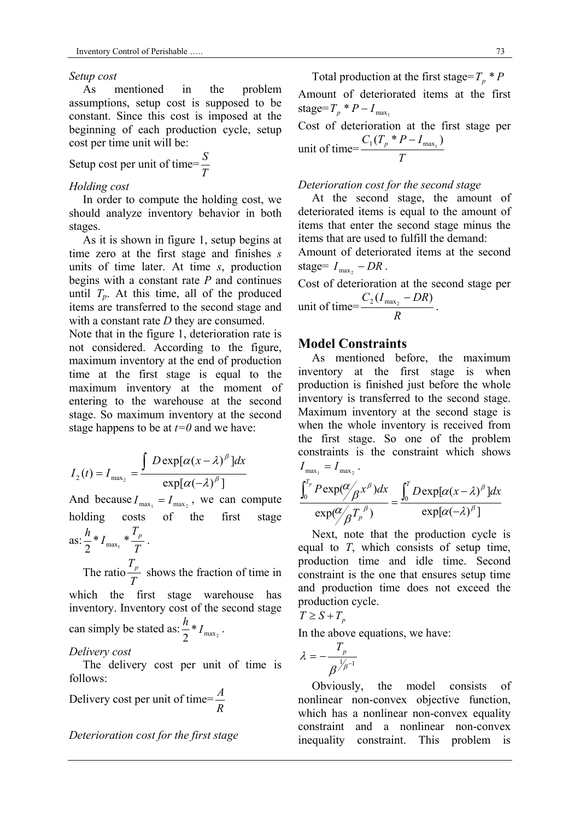#### *Setup cost*

As mentioned in the problem assumptions, setup cost is supposed to be constant. Since this cost is imposed at the beginning of each production cycle, setup cost per time unit will be:

Setup cost per unit of time= $\frac{S}{T}$ 

#### *Holding cost*

In order to compute the holding cost, we should analyze inventory behavior in both stages.

As it is shown in figure 1, setup begins at time zero at the first stage and finishes *s* units of time later. At time *s*, production begins with a constant rate *P* and continues until  $T_p$ . At this time, all of the produced items are transferred to the second stage and with a constant rate *D* they are consumed.

Note that in the figure 1, deterioration rate is not considered. According to the figure, maximum inventory at the end of production time at the first stage is equal to the maximum inventory at the moment of entering to the warehouse at the second stage. So maximum inventory at the second stage happens to be at *t=0* and we have:

$$
I_2(t) = I_{\max_2} = \frac{\int D \exp[\alpha (x - \lambda)^{\beta}] dx}{\exp[\alpha (-\lambda)^{\beta}]}
$$

And because  $I_{\max_1} = I_{\max_2}$ , we can compute holding costs of the first stage

as: 
$$
\frac{h}{2} * I_{\max_1} * \frac{T_p}{T}.
$$

The ratio *T*  $\frac{T_p}{T}$  shows the fraction of time in which the first stage warehouse has

inventory. Inventory cost of the second stage can simply be stated as:  $\frac{n}{2} * I_{\max_2}$  $\frac{h}{2} * I_{\text{max}}$ .

#### *Delivery cost*

The delivery cost per unit of time is follows:

Delivery cost per unit of time= $\frac{A}{R}$ 

## *Deterioration cost for the first stage*

Total production at the first stage= $T_p * P$ Amount of deteriorated items at the first stage= $T_p * P - I_{\text{max}_1}$ 

Cost of deterioration at the first stage per unit of time= *T*  $C_1(T_p * P - I_{\max_1})$ 

#### *Deterioration cost for the second stage*

At the second stage, the amount of deteriorated items is equal to the amount of items that enter the second stage minus the items that are used to fulfill the demand:

Amount of deteriorated items at the second stage=  $I_{\text{max}_2}$  – DR.

Cost of deterioration at the second stage per unit of time= *R*  $\frac{C_2(I_{\text{max}_2} - DR)}{D}$ .

### **Model Constraints**

As mentioned before, the maximum inventory at the first stage is when production is finished just before the whole inventory is transferred to the second stage. Maximum inventory at the second stage is when the whole inventory is received from the first stage. So one of the problem constraints is the constraint which shows  $I_{\text{max}_1} = I_{\text{max}_2}$ .

$$
\frac{\int_0^{T_p} P \exp(\frac{\alpha}{\beta} x^{\beta}) dx}{\exp(\frac{\alpha}{\beta} T_p^{\beta})} = \frac{\int_0^T D \exp[\alpha (x - \lambda)^{\beta}] dx}{\exp[\alpha (-\lambda)^{\beta}]}
$$

Next, note that the production cycle is equal to *T*, which consists of setup time, production time and idle time. Second constraint is the one that ensures setup time and production time does not exceed the production cycle.

$$
T \geq S + T_p
$$

In the above equations, we have:

$$
\lambda=-\frac{T_{p}}{\beta^{\frac{1}{\beta-1}}}
$$

Obviously, the model consists of nonlinear non-convex objective function, which has a nonlinear non-convex equality constraint and a nonlinear non-convex inequality constraint. This problem is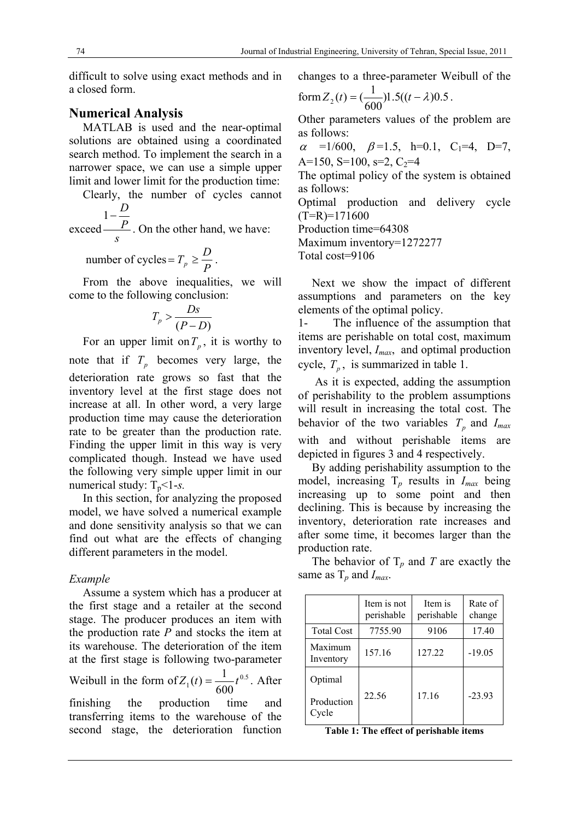difficult to solve using exact methods and in a closed form.

## **Numerical Analysis**

MATLAB is used and the near-optimal solutions are obtained using a coordinated search method. To implement the search in a narrower space, we can use a simple upper limit and lower limit for the production time:

Clearly, the number of cycles cannot  $1-\frac{D}{R}$ 

exceed *s P* . On the other hand, we have:

number of cycles =  $T_p \ge \frac{D}{P}$ .

From the above inequalities, we will come to the following conclusion:

$$
T_p > \frac{Ds}{(P-D)}
$$

For an upper limit on  $T_p$ , it is worthy to note that if  $T_p$  becomes very large, the deterioration rate grows so fast that the inventory level at the first stage does not increase at all. In other word, a very large production time may cause the deterioration rate to be greater than the production rate. Finding the upper limit in this way is very complicated though. Instead we have used the following very simple upper limit in our numerical study:  $T_p < 1-s$ .

In this section, for analyzing the proposed model, we have solved a numerical example and done sensitivity analysis so that we can find out what are the effects of changing different parameters in the model.

### *Example*

Assume a system which has a producer at the first stage and a retailer at the second stage. The producer produces an item with the production rate *P* and stocks the item at its warehouse. The deterioration of the item at the first stage is following two-parameter Weibull in the form of  $Z_1(t) = \frac{1}{60.5}t^{0.5}$  $1^{(t)}$ <sup>-</sup> 600  $Z_1(t) = \frac{1}{\epsilon_0 \epsilon_0} t^{0.5}$ . After finishing the production time and transferring items to the warehouse of the second stage, the deterioration function

changes to a three-parameter Weibull of the

form 
$$
Z_2(t) = (\frac{1}{600})1.5((t - \lambda)0.5)
$$
.

Other parameters values of the problem are as follows:

 $\alpha$  =1/600,  $\beta$ =1.5, h=0.1, C<sub>1</sub>=4, D=7, A=150, S=100, s=2,  $C_2$ =4

The optimal policy of the system is obtained as follows:

Optimal production and delivery cycle  $(T=R)=171600$ 

Production time=64308

Maximum inventory=1272277

Total cost=9106

Next we show the impact of different assumptions and parameters on the key elements of the optimal policy.

1- The influence of the assumption that items are perishable on total cost, maximum inventory level, *Imax*, and optimal production cycle,  $T_p$ , is summarized in table 1.

 As it is expected, adding the assumption of perishability to the problem assumptions will result in increasing the total cost. The behavior of the two variables  $T_p$  and  $I_{max}$ with and without perishable items are depicted in figures 3 and 4 respectively.

By adding perishability assumption to the model, increasing T*p* results in *Imax* being increasing up to some point and then declining. This is because by increasing the inventory, deterioration rate increases and after some time, it becomes larger than the production rate.

The behavior of  $T_p$  and *T* are exactly the same as T*p* and *Imax*.

|                                | Item is not<br>perishable | Item is<br>perishable | Rate of<br>change |
|--------------------------------|---------------------------|-----------------------|-------------------|
| <b>Total Cost</b>              | 7755.90                   | 9106                  | 17.40             |
| Maximum<br>Inventory           | 157.16                    | 127.22                | $-19.05$          |
| Optimal<br>Production<br>Cycle | 22.56                     | 17.16                 | $-23.93$          |

**Table 1: The effect of perishable items**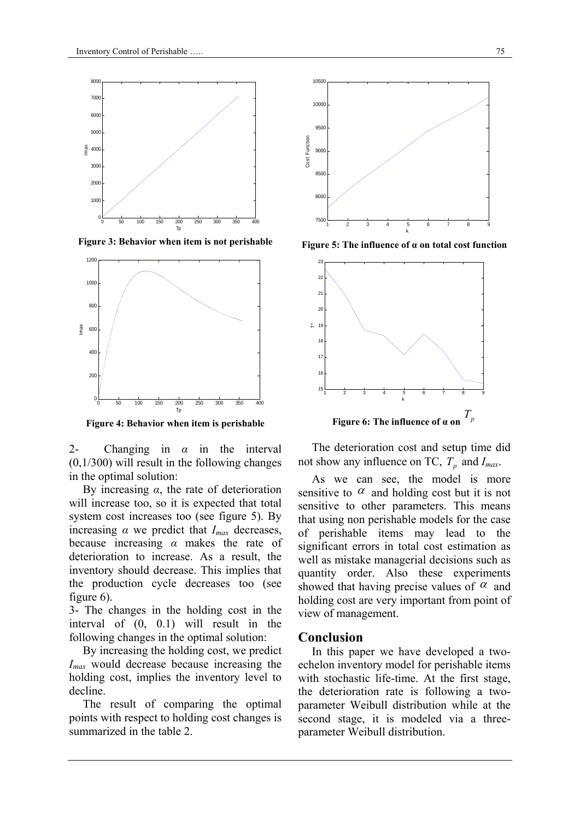

**Figure 3: Behavior when item is not perishable** 



**Figure 4: Behavior when item is perishable** 

2- Changing in *α* in the interval (0,1/300) will result in the following changes in the optimal solution:

By increasing *α*, the rate of deterioration will increase too, so it is expected that total system cost increases too (see figure 5). By increasing  $\alpha$  we predict that  $I_{max}$  decreases, because increasing *α* makes the rate of deterioration to increase. As a result, the inventory should decrease. This implies that the production cycle decreases too (see figure 6).

3- The changes in the holding cost in the interval of (0, 0.1) will result in the following changes in the optimal solution:

By increasing the holding cost, we predict *Imax* would decrease because increasing the holding cost, implies the inventory level to decline.

The result of comparing the optimal points with respect to holding cost changes is summarized in the table 2.



**Figure 5: The influence of α on total cost function**



The deterioration cost and setup time did not show any influence on TC,  $T_p$  and  $I_{max}$ .

As we can see, the model is more sensitive to  $\alpha$  and holding cost but it is not sensitive to other parameters. This means that using non perishable models for the case of perishable items may lead to the significant errors in total cost estimation as well as mistake managerial decisions such as quantity order. Also these experiments showed that having precise values of  $\alpha$  and holding cost are very important from point of view of management.

### **Conclusion**

In this paper we have developed a twoechelon inventory model for perishable items with stochastic life-time. At the first stage, the deterioration rate is following a twoparameter Weibull distribution while at the second stage, it is modeled via a threeparameter Weibull distribution.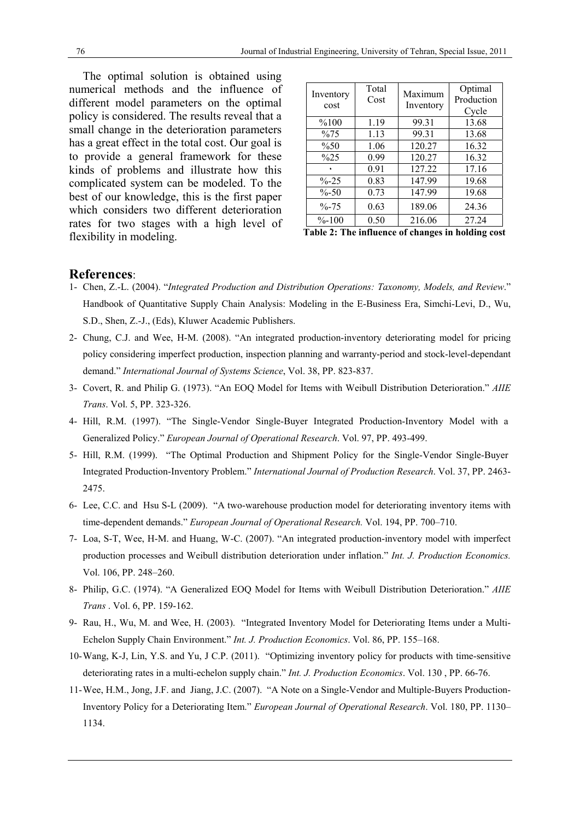The optimal solution is obtained using numerical methods and the influence of different model parameters on the optimal policy is considered. The results reveal that a small change in the deterioration parameters has a great effect in the total cost. Our goal is to provide a general framework for these kinds of problems and illustrate how this complicated system can be modeled. To the best of our knowledge, this is the first paper which considers two different deterioration rates for two stages with a high level of flexibility in modeling.

| Inventory<br>cost | Total<br>Cost | Maximum<br>Inventory | Optimal<br>Production<br>Cycle |
|-------------------|---------------|----------------------|--------------------------------|
| %100              | 1.19          | 99.31                | 13.68                          |
| $\%75$            | 1.13          | 99.31                | 13.68                          |
| $\%50$            | 1.06          | 120.27               | 16.32                          |
| %25               | 0.99          | 120.27               | 16.32                          |
|                   | 0.91          | 127.22               | 17.16                          |
| $\% -25$          | 0.83          | 147.99               | 19.68                          |
| $\% - 50$         | 0.73          | 147.99               | 19.68                          |
| $\% - 75$         | 0.63          | 189.06               | 24.36                          |
| $\% - 100$        | 0.50          | 216.06               | 27.24                          |

**Table 2: The influence of changes in holding cost**

#### **References**:

- 1- Chen, Z.-L. (2004). "*Integrated Production and Distribution Operations: Taxonomy, Models, and Review*." Handbook of Quantitative Supply Chain Analysis: Modeling in the E-Business Era, Simchi-Levi, D., Wu, S.D., Shen, Z.-J., (Eds), Kluwer Academic Publishers.
- 2- Chung, C.J. and Wee, H-M. (2008). "An integrated production-inventory deteriorating model for pricing policy considering imperfect production, inspection planning and warranty-period and stock-level-dependant demand." *International Journal of Systems Science*, Vol. 38, PP. 823-837.
- 3- Covert, R. and Philip G. (1973). "An EOQ Model for Items with Weibull Distribution Deterioration." *AIIE Trans*. Vol. 5, PP. 323-326.
- 4- Hill, R.M. (1997). "The Single-Vendor Single-Buyer Integrated Production-Inventory Model with a Generalized Policy." *European Journal of Operational Research*. Vol. 97, PP. 493-499.
- 5- Hill, R.M. (1999). "The Optimal Production and Shipment Policy for the Single-Vendor Single-Buyer Integrated Production-Inventory Problem." *International Journal of Production Research*. Vol. 37, PP. 2463- 2475.
- 6- Lee, C.C. and Hsu S-L (2009). "A two-warehouse production model for deteriorating inventory items with time-dependent demands." *European Journal of Operational Research.* Vol. 194, PP. 700–710.
- 7- Loa, S-T, Wee, H-M. and Huang, W-C. (2007). "An integrated production-inventory model with imperfect production processes and Weibull distribution deterioration under inflation." *Int. J. Production Economics.*  Vol. 106, PP. 248–260.
- 8- Philip, G.C. (1974). "A Generalized EOQ Model for Items with Weibull Distribution Deterioration." *AIIE Trans* . Vol. 6, PP. 159-162.
- 9- Rau, H., Wu, M. and Wee, H. (2003). "Integrated Inventory Model for Deteriorating Items under a Multi-Echelon Supply Chain Environment." *Int. J. Production Economics*. Vol. 86, PP. 155–168.
- 10-Wang, K-J, Lin, Y.S. and Yu, J C.P. (2011). "Optimizing inventory policy for products with time-sensitive deteriorating rates in a multi-echelon supply chain." *Int. J. Production Economics*. Vol. 130 , PP. 66-76.
- 11-Wee, H.M., Jong, J.F. and Jiang, J.C. (2007). "A Note on a Single-Vendor and Multiple-Buyers Production-Inventory Policy for a Deteriorating Item." *European Journal of Operational Research*. Vol. 180, PP. 1130– 1134.